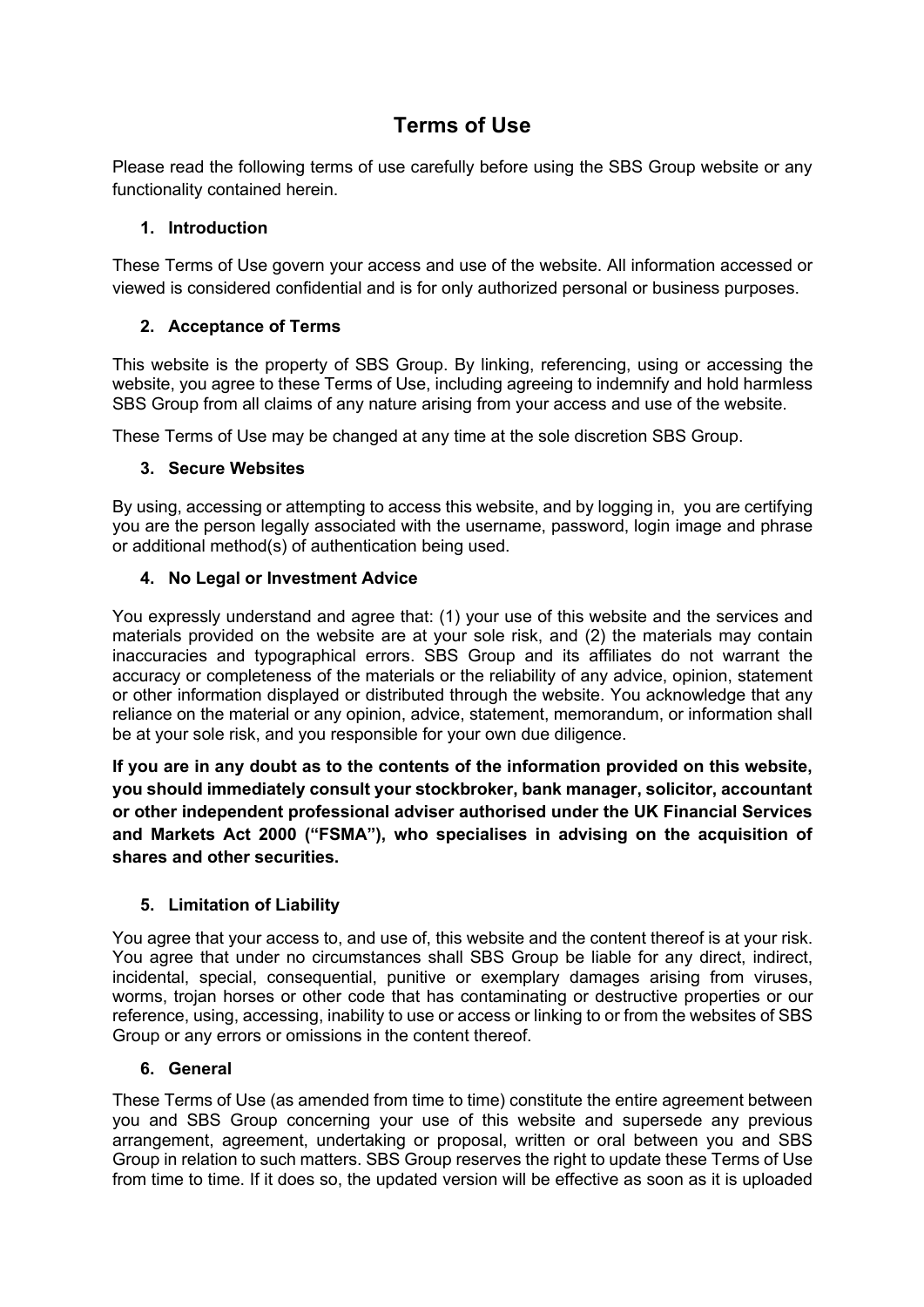# **Terms of Use**

Please read the following terms of use carefully before using the SBS Group website or any functionality contained herein.

## **1. Introduction**

These Terms of Use govern your access and use of the website. All information accessed or viewed is considered confidential and is for only authorized personal or business purposes.

## **2. Acceptance of Terms**

This website is the property of SBS Group. By linking, referencing, using or accessing the website, you agree to these Terms of Use, including agreeing to indemnify and hold harmless SBS Group from all claims of any nature arising from your access and use of the website.

These Terms of Use may be changed at any time at the sole discretion SBS Group.

### **3. Secure Websites**

By using, accessing or attempting to access this website, and by logging in, you are certifying you are the person legally associated with the username, password, login image and phrase or additional method(s) of authentication being used.

### **4. No Legal or Investment Advice**

You expressly understand and agree that: (1) your use of this website and the services and materials provided on the website are at your sole risk, and (2) the materials may contain inaccuracies and typographical errors. SBS Group and its affiliates do not warrant the accuracy or completeness of the materials or the reliability of any advice, opinion, statement or other information displayed or distributed through the website. You acknowledge that any reliance on the material or any opinion, advice, statement, memorandum, or information shall be at your sole risk, and you responsible for your own due diligence.

**If you are in any doubt as to the contents of the information provided on this website, you should immediately consult your stockbroker, bank manager, solicitor, accountant or other independent professional adviser authorised under the UK Financial Services and Markets Act 2000 ("FSMA"), who specialises in advising on the acquisition of shares and other securities.**

## **5. Limitation of Liability**

You agree that your access to, and use of, this website and the content thereof is at your risk. You agree that under no circumstances shall SBS Group be liable for any direct, indirect, incidental, special, consequential, punitive or exemplary damages arising from viruses, worms, trojan horses or other code that has contaminating or destructive properties or our reference, using, accessing, inability to use or access or linking to or from the websites of SBS Group or any errors or omissions in the content thereof.

#### **6. General**

These Terms of Use (as amended from time to time) constitute the entire agreement between you and SBS Group concerning your use of this website and supersede any previous arrangement, agreement, undertaking or proposal, written or oral between you and SBS Group in relation to such matters. SBS Group reserves the right to update these Terms of Use from time to time. If it does so, the updated version will be effective as soon as it is uploaded